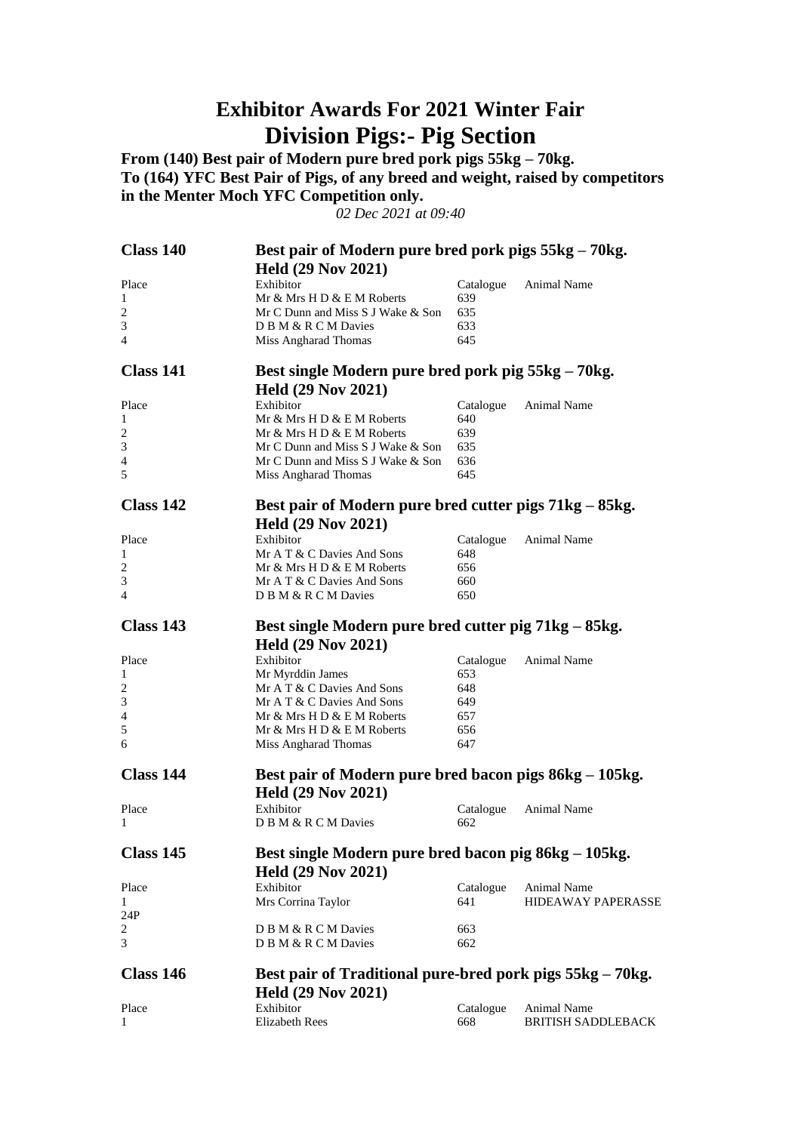## **Exhibitor Awards For 2021 Winter Fair Division Pigs:- Pig Section**

**From (140) Best pair of Modern pure bred pork pigs 55kg – 70kg. To (164) YFC Best Pair of Pigs, of any breed and weight, raised by competitors in the Menter Moch YFC Competition only.**

*02 Dec 2021 at 09:40*

| Class 140      | Best pair of Modern pure bred pork pigs 55kg – 70kg.      |            |                           |  |
|----------------|-----------------------------------------------------------|------------|---------------------------|--|
|                | <b>Held (29 Nov 2021)</b>                                 |            |                           |  |
| Place          | Exhibitor                                                 | Catalogue  | Animal Name               |  |
| 1              | Mr & Mrs H D & E M Roberts                                | 639        |                           |  |
| $\overline{c}$ | Mr C Dunn and Miss S J Wake & Son                         | 635        |                           |  |
| 3              | D B M & R C M Davies                                      | 633        |                           |  |
| 4              | Miss Angharad Thomas                                      | 645        |                           |  |
| Class 141      | Best single Modern pure bred pork pig 55kg – 70kg.        |            |                           |  |
|                | <b>Held (29 Nov 2021)</b>                                 |            |                           |  |
| Place          | Exhibitor                                                 | Catalogue  | Animal Name               |  |
| 1              | Mr & Mrs H D & E M Roberts                                | 640        |                           |  |
| 2              | Mr & Mrs H D & E M Roberts                                | 639        |                           |  |
| 3              | Mr C Dunn and Miss S J Wake & Son                         | 635        |                           |  |
| $\overline{4}$ | Mr C Dunn and Miss S J Wake & Son                         | 636        |                           |  |
| 5              | Miss Angharad Thomas                                      | 645        |                           |  |
| Class 142      | Best pair of Modern pure bred cutter pigs 71kg – 85kg.    |            |                           |  |
|                | <b>Held (29 Nov 2021)</b>                                 |            |                           |  |
| Place          | Exhibitor                                                 | Catalogue  | Animal Name               |  |
| 1              | Mr A T & C Davies And Sons                                | 648        |                           |  |
| 2              | Mr & Mrs H D & E M Roberts                                | 656        |                           |  |
| 3              | Mr A T & C Davies And Sons                                | 660        |                           |  |
| 4              | D B M & R C M Davies                                      | 650        |                           |  |
| Class 143      | Best single Modern pure bred cutter pig 71kg – 85kg.      |            |                           |  |
|                | <b>Held (29 Nov 2021)</b>                                 |            |                           |  |
| Place          | Exhibitor                                                 | Catalogue  | Animal Name               |  |
| 1              | Mr Myrddin James                                          | 653        |                           |  |
| $\overline{c}$ | Mr A T & C Davies And Sons                                | 648        |                           |  |
| 3              | Mr A T & C Davies And Sons                                | 649        |                           |  |
| 4<br>5         | Mr & Mrs H D & E M Roberts                                | 657        |                           |  |
| 6              | Mr & Mrs H D & E M Roberts<br>Miss Angharad Thomas        | 656<br>647 |                           |  |
|                |                                                           |            |                           |  |
| Class 144      | Best pair of Modern pure bred bacon pigs 86kg – 105kg.    |            |                           |  |
|                | <b>Held (29 Nov 2021)</b>                                 |            |                           |  |
| Place          | Exhibitor                                                 | Catalogue  | Animal Name               |  |
| 1              | D B M & R C M Davies                                      | 662        |                           |  |
| Class 145      | Best single Modern pure bred bacon pig 86kg - 105kg.      |            |                           |  |
|                | <b>Held (29 Nov 2021)</b>                                 |            |                           |  |
| Place          | Exhibitor                                                 | Catalogue  | Animal Name               |  |
| 1              | Mrs Corrina Taylor                                        | 641        | HIDEAWAY PAPERASSE        |  |
| 24P            |                                                           |            |                           |  |
| 2              | D B M & R C M Davies                                      | 663        |                           |  |
| 3              | D B M & R C M Davies                                      | 662        |                           |  |
| Class 146      | Best pair of Traditional pure-bred pork pigs 55kg – 70kg. |            |                           |  |
|                | <b>Held (29 Nov 2021)</b>                                 |            |                           |  |
| Place          | Exhibitor                                                 | Catalogue  | Animal Name               |  |
| 1              | <b>Elizabeth Rees</b>                                     | 668        | <b>BRITISH SADDLEBACK</b> |  |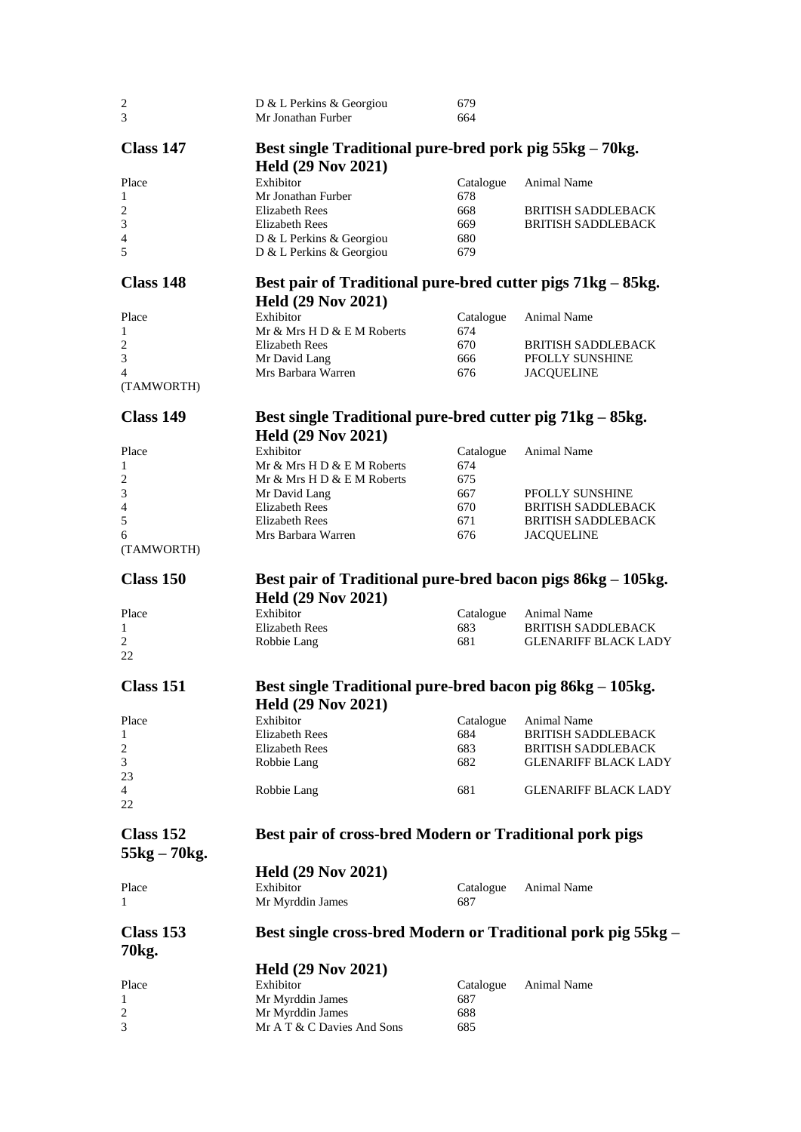| $\sqrt{2}$              | D & L Perkins & Georgiou                                     | 679       |                             |
|-------------------------|--------------------------------------------------------------|-----------|-----------------------------|
| 3                       | Mr Jonathan Furber                                           | 664       |                             |
|                         |                                                              |           |                             |
| Class 147               | Best single Traditional pure-bred pork pig 55kg – 70kg.      |           |                             |
|                         | <b>Held (29 Nov 2021)</b>                                    |           |                             |
| Place                   | Exhibitor                                                    | Catalogue | Animal Name                 |
| 1                       | Mr Jonathan Furber                                           | 678       |                             |
| $\overline{c}$          | <b>Elizabeth Rees</b>                                        | 668       | <b>BRITISH SADDLEBACK</b>   |
| 3                       | <b>Elizabeth Rees</b>                                        | 669       | <b>BRITISH SADDLEBACK</b>   |
| 4                       | D & L Perkins & Georgiou                                     | 680       |                             |
| 5                       | D & L Perkins & Georgiou                                     | 679       |                             |
|                         |                                                              |           |                             |
| Class 148               |                                                              |           |                             |
|                         | Best pair of Traditional pure-bred cutter pigs 71kg – 85kg.  |           |                             |
|                         | <b>Held (29 Nov 2021)</b>                                    |           |                             |
| Place                   | Exhibitor                                                    | Catalogue | Animal Name                 |
| $\mathbf{1}$            | Mr & Mrs H D & E M Roberts                                   | 674       |                             |
| $\overline{c}$          | Elizabeth Rees                                               | 670       | <b>BRITISH SADDLEBACK</b>   |
| 3                       | Mr David Lang                                                | 666       | PFOLLY SUNSHINE             |
| 4                       | Mrs Barbara Warren                                           | 676       | <b>JACQUELINE</b>           |
| (TAMWORTH)              |                                                              |           |                             |
|                         |                                                              |           |                             |
| Class 149               | Best single Traditional pure-bred cutter pig 71kg - 85kg.    |           |                             |
|                         |                                                              |           |                             |
|                         | <b>Held (29 Nov 2021)</b>                                    |           |                             |
| Place                   | Exhibitor                                                    | Catalogue | Animal Name                 |
| 1                       | Mr & Mrs H D & E M Roberts                                   | 674       |                             |
| $\overline{2}$          | Mr & Mrs H D & E M Roberts                                   | 675       |                             |
| 3                       | Mr David Lang                                                | 667       | PFOLLY SUNSHINE             |
| $\overline{4}$          | Elizabeth Rees                                               | 670       | <b>BRITISH SADDLEBACK</b>   |
| 5                       | <b>Elizabeth Rees</b>                                        | 671       | <b>BRITISH SADDLEBACK</b>   |
| 6                       | Mrs Barbara Warren                                           | 676       | <b>JACQUELINE</b>           |
| (TAMWORTH)              |                                                              |           |                             |
|                         |                                                              |           |                             |
|                         |                                                              |           |                             |
| Class 150               |                                                              |           |                             |
|                         | Best pair of Traditional pure-bred bacon pigs 86kg – 105kg.  |           |                             |
|                         | <b>Held (29 Nov 2021)</b>                                    |           |                             |
| Place                   | Exhibitor                                                    | Catalogue | Animal Name                 |
| $\mathbf{1}$            | <b>Elizabeth Rees</b>                                        | 683       | <b>BRITISH SADDLEBACK</b>   |
| $\overline{c}$          | Robbie Lang                                                  | 681       | <b>GLENARIFF BLACK LADY</b> |
| 22                      |                                                              |           |                             |
|                         |                                                              |           |                             |
| Class 151               | Best single Traditional pure-bred bacon pig 86kg – 105kg.    |           |                             |
|                         | <b>Held (29 Nov 2021)</b>                                    |           |                             |
| Place                   | Exhibitor                                                    | Catalogue | Animal Name                 |
| 1                       | <b>Elizabeth Rees</b>                                        | 684       | <b>BRITISH SADDLEBACK</b>   |
| $\overline{\mathbf{c}}$ | Elizabeth Rees                                               | 683       | <b>BRITISH SADDLEBACK</b>   |
| 3                       | Robbie Lang                                                  | 682       | <b>GLENARIFF BLACK LADY</b> |
| 23                      |                                                              |           |                             |
| $\overline{4}$          |                                                              | 681       | <b>GLENARIFF BLACK LADY</b> |
| 22                      | Robbie Lang                                                  |           |                             |
|                         |                                                              |           |                             |
|                         |                                                              |           |                             |
| Class 152               | Best pair of cross-bred Modern or Traditional pork pigs      |           |                             |
| $55kg - 70kg$ .         |                                                              |           |                             |
|                         | <b>Held (29 Nov 2021)</b>                                    |           |                             |
| Place                   | Exhibitor                                                    | Catalogue | Animal Name                 |
| 1                       | Mr Myrddin James                                             | 687       |                             |
|                         |                                                              |           |                             |
|                         |                                                              |           |                             |
| Class 153               | Best single cross-bred Modern or Traditional pork pig 55kg – |           |                             |
| 70kg.                   |                                                              |           |                             |
|                         | <b>Held (29 Nov 2021)</b>                                    |           |                             |
| Place                   | Exhibitor                                                    | Catalogue | Animal Name                 |
| 1                       | Mr Myrddin James                                             | 687       |                             |
| 2                       | Mr Myrddin James                                             | 688       |                             |
| 3                       | Mr A T & C Davies And Sons                                   | 685       |                             |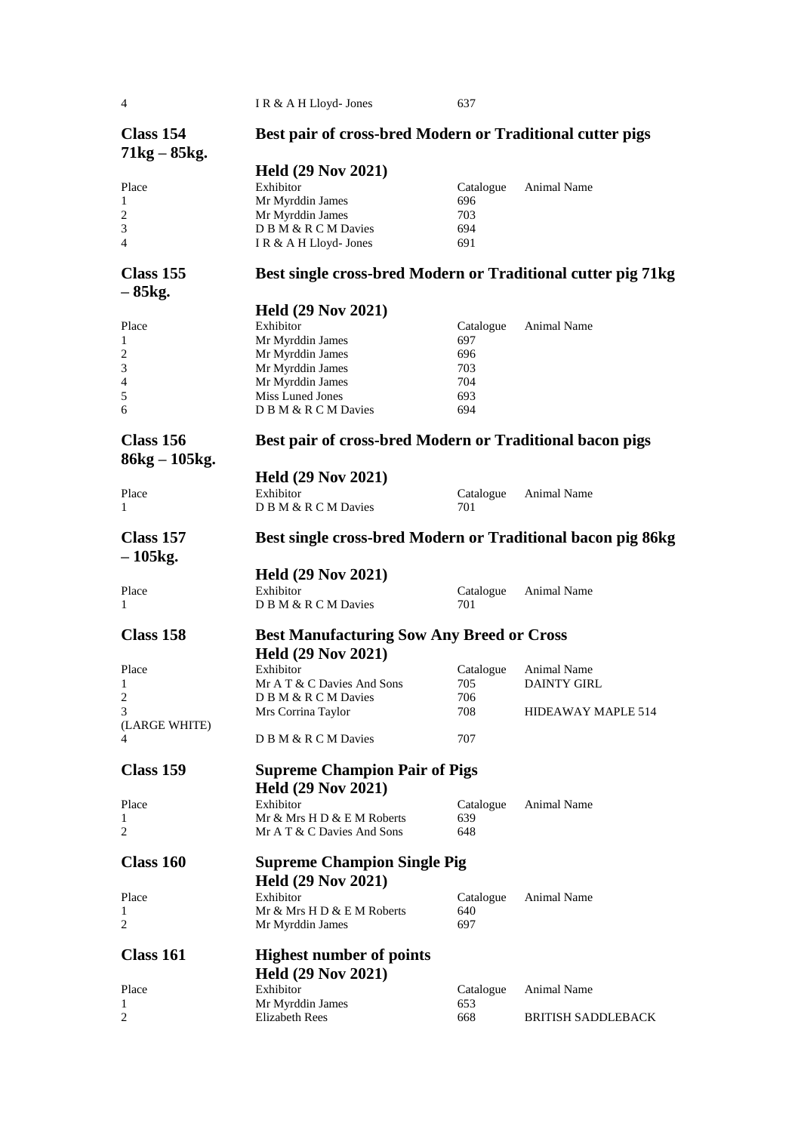| 4                             | IR & A H Lloyd- Jones                                        | 637        |                           |
|-------------------------------|--------------------------------------------------------------|------------|---------------------------|
| Class 154<br>$71kg - 85kg$ .  | Best pair of cross-bred Modern or Traditional cutter pigs    |            |                           |
|                               | <b>Held (29 Nov 2021)</b>                                    |            |                           |
| Place                         | Exhibitor                                                    | Catalogue  | Animal Name               |
| 1                             | Mr Myrddin James                                             | 696        |                           |
| $\overline{\mathbf{c}}$       | Mr Myrddin James                                             | 703        |                           |
| 3                             | D B M & R C M Davies                                         | 694        |                           |
| 4                             | I R & A H Lloyd- Jones                                       | 691        |                           |
| Class 155<br>– 85kg.          | Best single cross-bred Modern or Traditional cutter pig 71kg |            |                           |
|                               | <b>Held (29 Nov 2021)</b>                                    |            |                           |
| Place                         | Exhibitor                                                    | Catalogue  | Animal Name               |
| 1                             | Mr Myrddin James                                             | 697        |                           |
| $\overline{\mathbf{c}}$       | Mr Myrddin James                                             | 696        |                           |
| 3                             | Mr Myrddin James                                             | 703        |                           |
| 4                             | Mr Myrddin James                                             | 704        |                           |
| 5                             | Miss Luned Jones                                             | 693        |                           |
| 6                             | D B M & R C M Davies                                         | 694        |                           |
| Class 156<br>$86kg - 105kg$ . | Best pair of cross-bred Modern or Traditional bacon pigs     |            |                           |
|                               | <b>Held (29 Nov 2021)</b>                                    |            |                           |
| Place                         | Exhibitor                                                    | Catalogue  | Animal Name               |
| 1                             | D B M & R C M Davies                                         | 701        |                           |
| Class 157<br>$-105$ kg.       | Best single cross-bred Modern or Traditional bacon pig 86kg  |            |                           |
|                               | <b>Held (29 Nov 2021)</b>                                    |            |                           |
| Place                         | Exhibitor                                                    | Catalogue  | Animal Name               |
| 1                             | D B M & R C M Davies                                         | 701        |                           |
| Class 158                     |                                                              |            |                           |
|                               | <b>Best Manufacturing Sow Any Breed or Cross</b>             |            |                           |
|                               | <b>Held (29 Nov 2021)</b>                                    |            |                           |
| Place                         | Exhibitor                                                    | Catalogue  | Animal Name               |
| 1                             | Mr A T & C Davies And Sons                                   | 705        | <b>DAINTY GIRL</b>        |
| 2                             | D B M & R C M Davies                                         | 706        |                           |
| 3                             | Mrs Corrina Taylor                                           | 708        | HIDEAWAY MAPLE 514        |
| (LARGE WHITE)<br>4            | D B M & R C M Davies                                         | 707        |                           |
|                               |                                                              |            |                           |
| <b>Class 159</b>              | <b>Supreme Champion Pair of Pigs</b>                         |            |                           |
|                               | <b>Held (29 Nov 2021)</b>                                    |            |                           |
| Place                         | Exhibitor                                                    | Catalogue  | Animal Name               |
| 1                             | Mr & Mrs H D & E M Roberts                                   | 639        |                           |
| 2                             | Mr A T & C Davies And Sons                                   | 648        |                           |
| Class 160                     | <b>Supreme Champion Single Pig</b>                           |            |                           |
|                               |                                                              |            |                           |
|                               | <b>Held (29 Nov 2021)</b>                                    |            |                           |
| Place                         | Exhibitor                                                    | Catalogue  | Animal Name               |
| 1<br>2                        | Mr & Mrs H D & E M Roberts<br>Mr Myrddin James               | 640<br>697 |                           |
|                               |                                                              |            |                           |
| Class 161                     | <b>Highest number of points</b>                              |            |                           |
|                               | <b>Held (29 Nov 2021)</b>                                    |            |                           |
| Place                         | Exhibitor                                                    | Catalogue  | Animal Name               |
| 1                             | Mr Myrddin James                                             | 653        |                           |
| 2                             | Elizabeth Rees                                               | 668        | <b>BRITISH SADDLEBACK</b> |